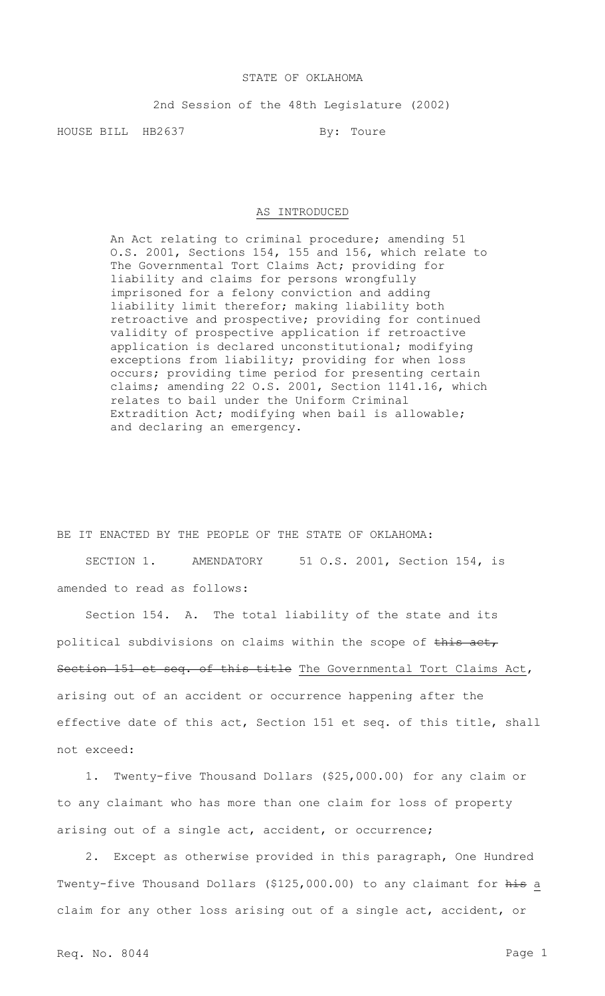## STATE OF OKLAHOMA

2nd Session of the 48th Legislature (2002)

HOUSE BILL HB2637 By: Toure

## AS INTRODUCED

An Act relating to criminal procedure; amending 51 O.S. 2001, Sections 154, 155 and 156, which relate to The Governmental Tort Claims Act; providing for liability and claims for persons wrongfully imprisoned for a felony conviction and adding liability limit therefor; making liability both retroactive and prospective; providing for continued validity of prospective application if retroactive application is declared unconstitutional; modifying exceptions from liability; providing for when loss occurs; providing time period for presenting certain claims; amending 22 O.S. 2001, Section 1141.16, which relates to bail under the Uniform Criminal Extradition Act; modifying when bail is allowable; and declaring an emergency.

BE IT ENACTED BY THE PEOPLE OF THE STATE OF OKLAHOMA: SECTION 1. AMENDATORY 51 O.S. 2001, Section 154, is amended to read as follows:

Section 154. A. The total liability of the state and its political subdivisions on claims within the scope of this act, Section 151 et seq. of this title The Governmental Tort Claims Act, arising out of an accident or occurrence happening after the effective date of this act, Section 151 et seq. of this title, shall not exceed:

1. Twenty-five Thousand Dollars (\$25,000.00) for any claim or to any claimant who has more than one claim for loss of property arising out of a single act, accident, or occurrence;

2. Except as otherwise provided in this paragraph, One Hundred Twenty-five Thousand Dollars (\$125,000.00) to any claimant for his a claim for any other loss arising out of a single act, accident, or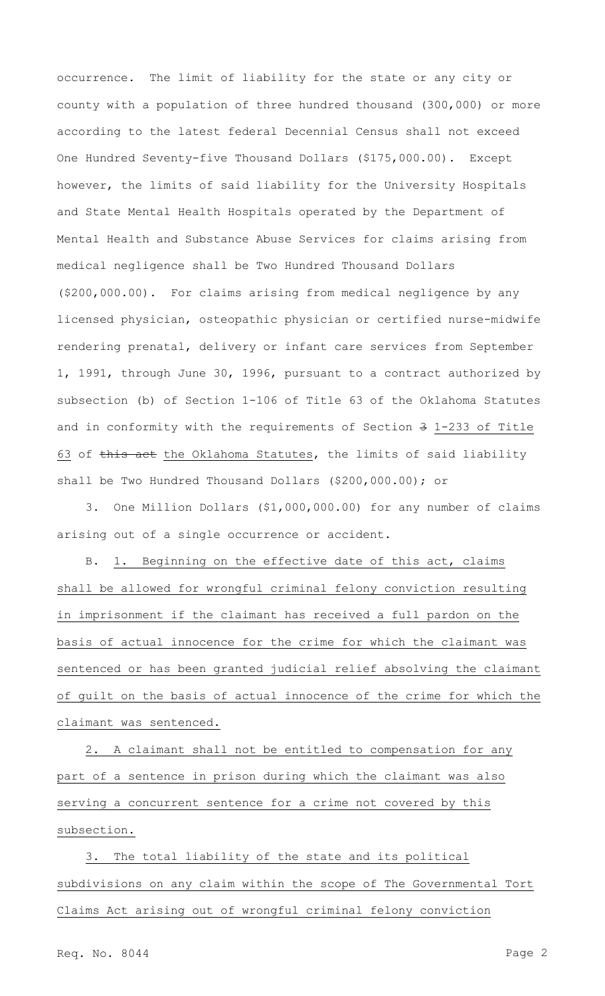occurrence. The limit of liability for the state or any city or county with a population of three hundred thousand (300,000) or more according to the latest federal Decennial Census shall not exceed One Hundred Seventy-five Thousand Dollars (\$175,000.00). Except however, the limits of said liability for the University Hospitals and State Mental Health Hospitals operated by the Department of Mental Health and Substance Abuse Services for claims arising from medical negligence shall be Two Hundred Thousand Dollars (\$200,000.00). For claims arising from medical negligence by any licensed physician, osteopathic physician or certified nurse-midwife rendering prenatal, delivery or infant care services from September 1, 1991, through June 30, 1996, pursuant to a contract authorized by subsection (b) of Section 1-106 of Title 63 of the Oklahoma Statutes and in conformity with the requirements of Section 3 1-233 of Title 63 of this act the Oklahoma Statutes, the limits of said liability shall be Two Hundred Thousand Dollars (\$200,000.00); or

3. One Million Dollars (\$1,000,000.00) for any number of claims arising out of a single occurrence or accident.

B. 1. Beginning on the effective date of this act, claims shall be allowed for wrongful criminal felony conviction resulting in imprisonment if the claimant has received a full pardon on the basis of actual innocence for the crime for which the claimant was sentenced or has been granted judicial relief absolving the claimant of guilt on the basis of actual innocence of the crime for which the claimant was sentenced.

2. A claimant shall not be entitled to compensation for any part of a sentence in prison during which the claimant was also serving a concurrent sentence for a crime not covered by this subsection.

3. The total liability of the state and its political subdivisions on any claim within the scope of The Governmental Tort Claims Act arising out of wrongful criminal felony conviction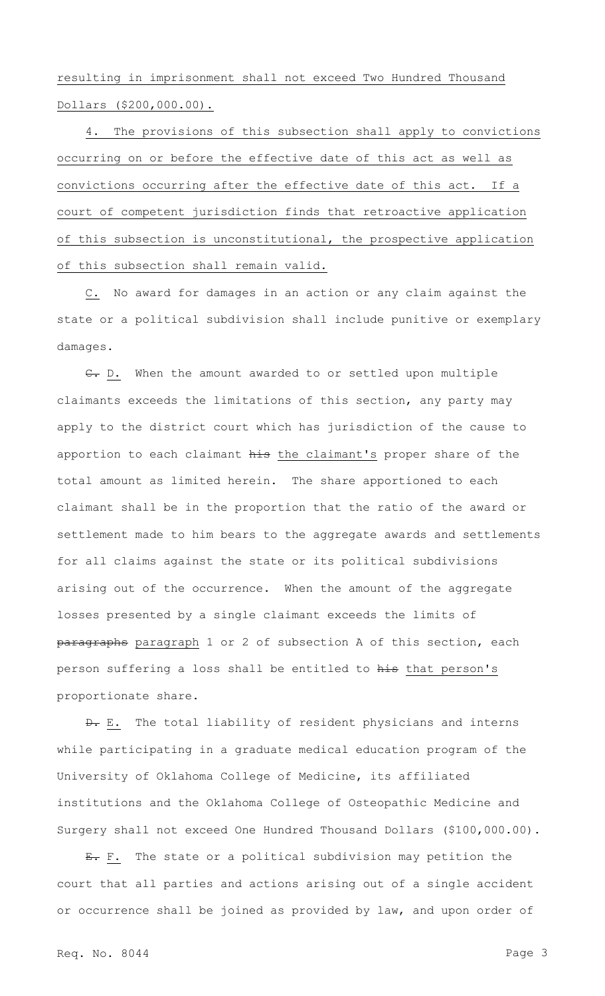resulting in imprisonment shall not exceed Two Hundred Thousand Dollars (\$200,000.00).

4. The provisions of this subsection shall apply to convictions occurring on or before the effective date of this act as well as convictions occurring after the effective date of this act. If a court of competent jurisdiction finds that retroactive application of this subsection is unconstitutional, the prospective application of this subsection shall remain valid.

C. No award for damages in an action or any claim against the state or a political subdivision shall include punitive or exemplary damages.

C. D. When the amount awarded to or settled upon multiple claimants exceeds the limitations of this section, any party may apply to the district court which has jurisdiction of the cause to apportion to each claimant his the claimant's proper share of the total amount as limited herein. The share apportioned to each claimant shall be in the proportion that the ratio of the award or settlement made to him bears to the aggregate awards and settlements for all claims against the state or its political subdivisions arising out of the occurrence. When the amount of the aggregate losses presented by a single claimant exceeds the limits of paragraphs paragraph 1 or 2 of subsection A of this section, each person suffering a loss shall be entitled to his that person's proportionate share.

 $\theta$ . E. The total liability of resident physicians and interns while participating in a graduate medical education program of the University of Oklahoma College of Medicine, its affiliated institutions and the Oklahoma College of Osteopathic Medicine and Surgery shall not exceed One Hundred Thousand Dollars (\$100,000.00).

E. F. The state or a political subdivision may petition the court that all parties and actions arising out of a single accident or occurrence shall be joined as provided by law, and upon order of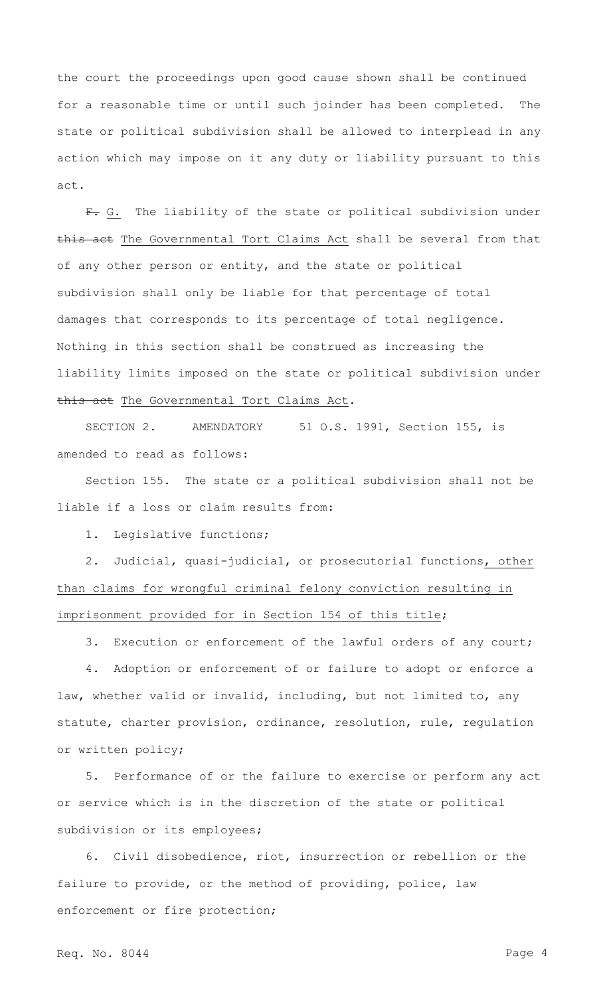the court the proceedings upon good cause shown shall be continued for a reasonable time or until such joinder has been completed. The state or political subdivision shall be allowed to interplead in any action which may impose on it any duty or liability pursuant to this act.

F. G. The liability of the state or political subdivision under this act The Governmental Tort Claims Act shall be several from that of any other person or entity, and the state or political subdivision shall only be liable for that percentage of total damages that corresponds to its percentage of total negligence. Nothing in this section shall be construed as increasing the liability limits imposed on the state or political subdivision under this act The Governmental Tort Claims Act.

SECTION 2. AMENDATORY 51 O.S. 1991, Section 155, is amended to read as follows:

Section 155. The state or a political subdivision shall not be liable if a loss or claim results from:

1. Legislative functions;

2. Judicial, quasi-judicial, or prosecutorial functions, other than claims for wrongful criminal felony conviction resulting in imprisonment provided for in Section 154 of this title;

3. Execution or enforcement of the lawful orders of any court;

4. Adoption or enforcement of or failure to adopt or enforce a law, whether valid or invalid, including, but not limited to, any statute, charter provision, ordinance, resolution, rule, regulation or written policy;

5. Performance of or the failure to exercise or perform any act or service which is in the discretion of the state or political subdivision or its employees;

6. Civil disobedience, riot, insurrection or rebellion or the failure to provide, or the method of providing, police, law enforcement or fire protection;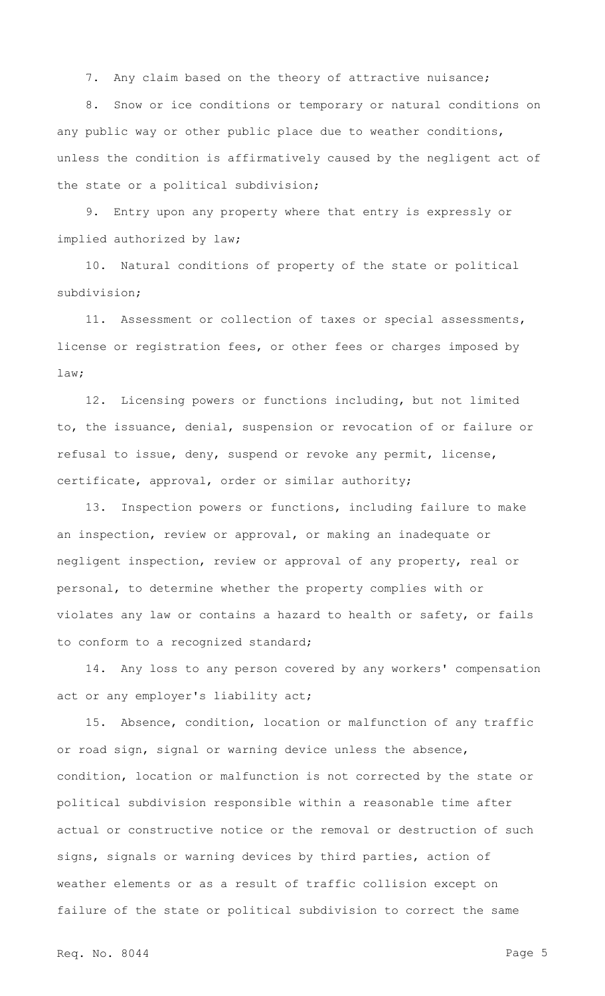7. Any claim based on the theory of attractive nuisance;

8. Snow or ice conditions or temporary or natural conditions on any public way or other public place due to weather conditions, unless the condition is affirmatively caused by the negligent act of the state or a political subdivision;

9. Entry upon any property where that entry is expressly or implied authorized by law;

10. Natural conditions of property of the state or political subdivision;

11. Assessment or collection of taxes or special assessments, license or registration fees, or other fees or charges imposed by law;

12. Licensing powers or functions including, but not limited to, the issuance, denial, suspension or revocation of or failure or refusal to issue, deny, suspend or revoke any permit, license, certificate, approval, order or similar authority;

13. Inspection powers or functions, including failure to make an inspection, review or approval, or making an inadequate or negligent inspection, review or approval of any property, real or personal, to determine whether the property complies with or violates any law or contains a hazard to health or safety, or fails to conform to a recognized standard;

14. Any loss to any person covered by any workers' compensation act or any employer's liability act;

15. Absence, condition, location or malfunction of any traffic or road sign, signal or warning device unless the absence, condition, location or malfunction is not corrected by the state or political subdivision responsible within a reasonable time after actual or constructive notice or the removal or destruction of such signs, signals or warning devices by third parties, action of weather elements or as a result of traffic collision except on failure of the state or political subdivision to correct the same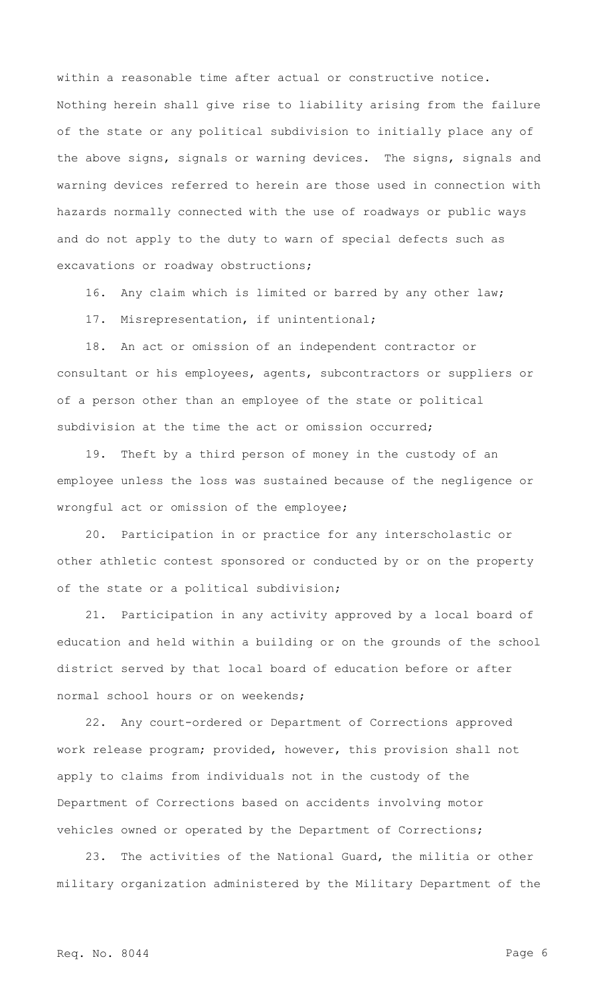within a reasonable time after actual or constructive notice. Nothing herein shall give rise to liability arising from the failure of the state or any political subdivision to initially place any of the above signs, signals or warning devices. The signs, signals and warning devices referred to herein are those used in connection with hazards normally connected with the use of roadways or public ways and do not apply to the duty to warn of special defects such as excavations or roadway obstructions;

16. Any claim which is limited or barred by any other law;

17. Misrepresentation, if unintentional;

18. An act or omission of an independent contractor or consultant or his employees, agents, subcontractors or suppliers or of a person other than an employee of the state or political subdivision at the time the act or omission occurred;

19. Theft by a third person of money in the custody of an employee unless the loss was sustained because of the negligence or wrongful act or omission of the employee;

20. Participation in or practice for any interscholastic or other athletic contest sponsored or conducted by or on the property of the state or a political subdivision;

21. Participation in any activity approved by a local board of education and held within a building or on the grounds of the school district served by that local board of education before or after normal school hours or on weekends;

22. Any court-ordered or Department of Corrections approved work release program; provided, however, this provision shall not apply to claims from individuals not in the custody of the Department of Corrections based on accidents involving motor vehicles owned or operated by the Department of Corrections;

23. The activities of the National Guard, the militia or other military organization administered by the Military Department of the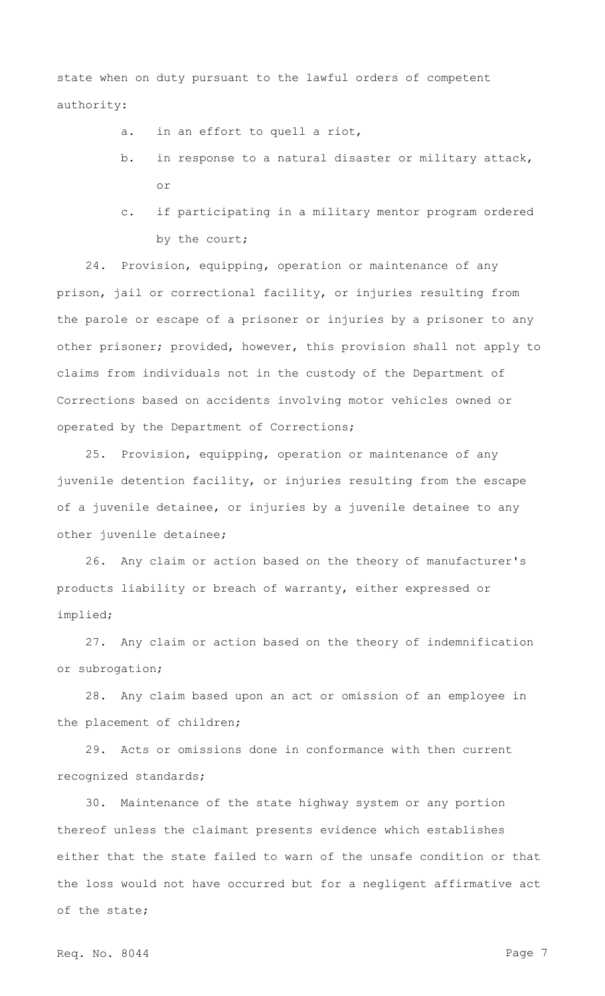state when on duty pursuant to the lawful orders of competent authority:

a. in an effort to quell a riot,

- b. in response to a natural disaster or military attack, or
- c. if participating in a military mentor program ordered by the court;

24. Provision, equipping, operation or maintenance of any prison, jail or correctional facility, or injuries resulting from the parole or escape of a prisoner or injuries by a prisoner to any other prisoner; provided, however, this provision shall not apply to claims from individuals not in the custody of the Department of Corrections based on accidents involving motor vehicles owned or operated by the Department of Corrections;

25. Provision, equipping, operation or maintenance of any juvenile detention facility, or injuries resulting from the escape of a juvenile detainee, or injuries by a juvenile detainee to any other juvenile detainee;

26. Any claim or action based on the theory of manufacturer's products liability or breach of warranty, either expressed or implied;

27. Any claim or action based on the theory of indemnification or subrogation;

28. Any claim based upon an act or omission of an employee in the placement of children;

29. Acts or omissions done in conformance with then current recognized standards;

30. Maintenance of the state highway system or any portion thereof unless the claimant presents evidence which establishes either that the state failed to warn of the unsafe condition or that the loss would not have occurred but for a negligent affirmative act of the state;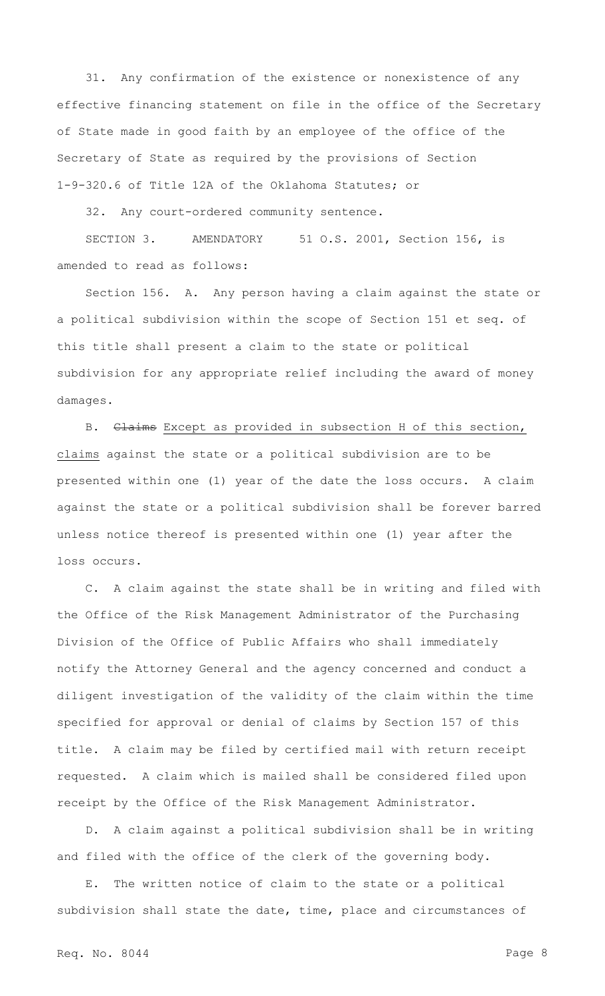31. Any confirmation of the existence or nonexistence of any effective financing statement on file in the office of the Secretary of State made in good faith by an employee of the office of the Secretary of State as required by the provisions of Section 1-9-320.6 of Title 12A of the Oklahoma Statutes; or

32. Any court-ordered community sentence.

SECTION 3. AMENDATORY 51 O.S. 2001, Section 156, is amended to read as follows:

Section 156. A. Any person having a claim against the state or a political subdivision within the scope of Section 151 et seq. of this title shall present a claim to the state or political subdivision for any appropriate relief including the award of money damages.

B. Claims Except as provided in subsection H of this section, claims against the state or a political subdivision are to be presented within one (1) year of the date the loss occurs. A claim against the state or a political subdivision shall be forever barred unless notice thereof is presented within one (1) year after the loss occurs.

C. A claim against the state shall be in writing and filed with the Office of the Risk Management Administrator of the Purchasing Division of the Office of Public Affairs who shall immediately notify the Attorney General and the agency concerned and conduct a diligent investigation of the validity of the claim within the time specified for approval or denial of claims by Section 157 of this title. A claim may be filed by certified mail with return receipt requested. A claim which is mailed shall be considered filed upon receipt by the Office of the Risk Management Administrator.

D. A claim against a political subdivision shall be in writing and filed with the office of the clerk of the governing body.

E. The written notice of claim to the state or a political subdivision shall state the date, time, place and circumstances of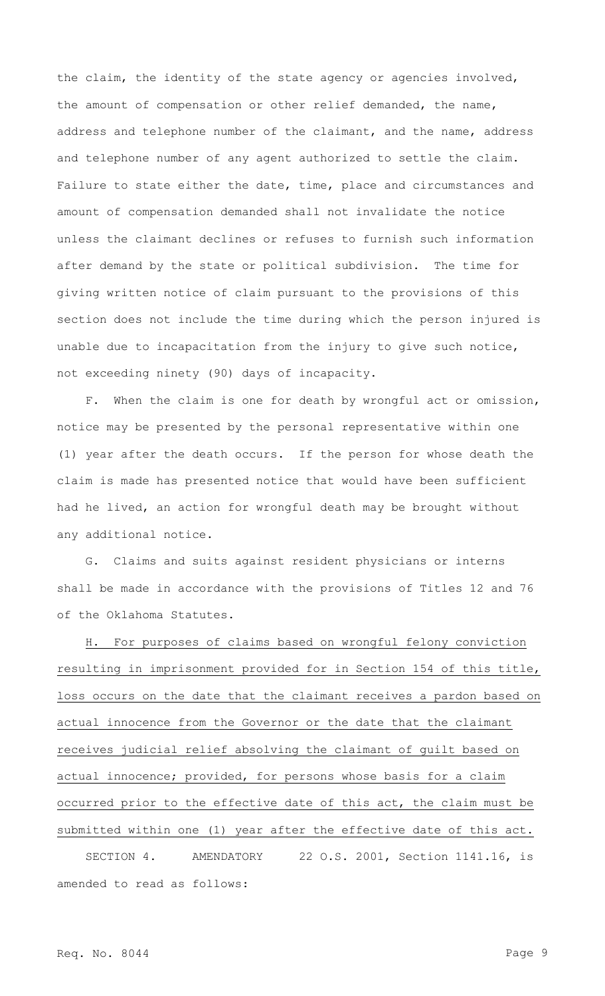the claim, the identity of the state agency or agencies involved, the amount of compensation or other relief demanded, the name, address and telephone number of the claimant, and the name, address and telephone number of any agent authorized to settle the claim. Failure to state either the date, time, place and circumstances and amount of compensation demanded shall not invalidate the notice unless the claimant declines or refuses to furnish such information after demand by the state or political subdivision. The time for giving written notice of claim pursuant to the provisions of this section does not include the time during which the person injured is unable due to incapacitation from the injury to give such notice, not exceeding ninety (90) days of incapacity.

F. When the claim is one for death by wrongful act or omission, notice may be presented by the personal representative within one (1) year after the death occurs. If the person for whose death the claim is made has presented notice that would have been sufficient had he lived, an action for wrongful death may be brought without any additional notice.

G. Claims and suits against resident physicians or interns shall be made in accordance with the provisions of Titles 12 and 76 of the Oklahoma Statutes.

H. For purposes of claims based on wrongful felony conviction resulting in imprisonment provided for in Section 154 of this title, loss occurs on the date that the claimant receives a pardon based on actual innocence from the Governor or the date that the claimant receives judicial relief absolving the claimant of guilt based on actual innocence; provided, for persons whose basis for a claim occurred prior to the effective date of this act, the claim must be submitted within one (1) year after the effective date of this act.

SECTION 4. AMENDATORY 22 O.S. 2001, Section 1141.16, is amended to read as follows: